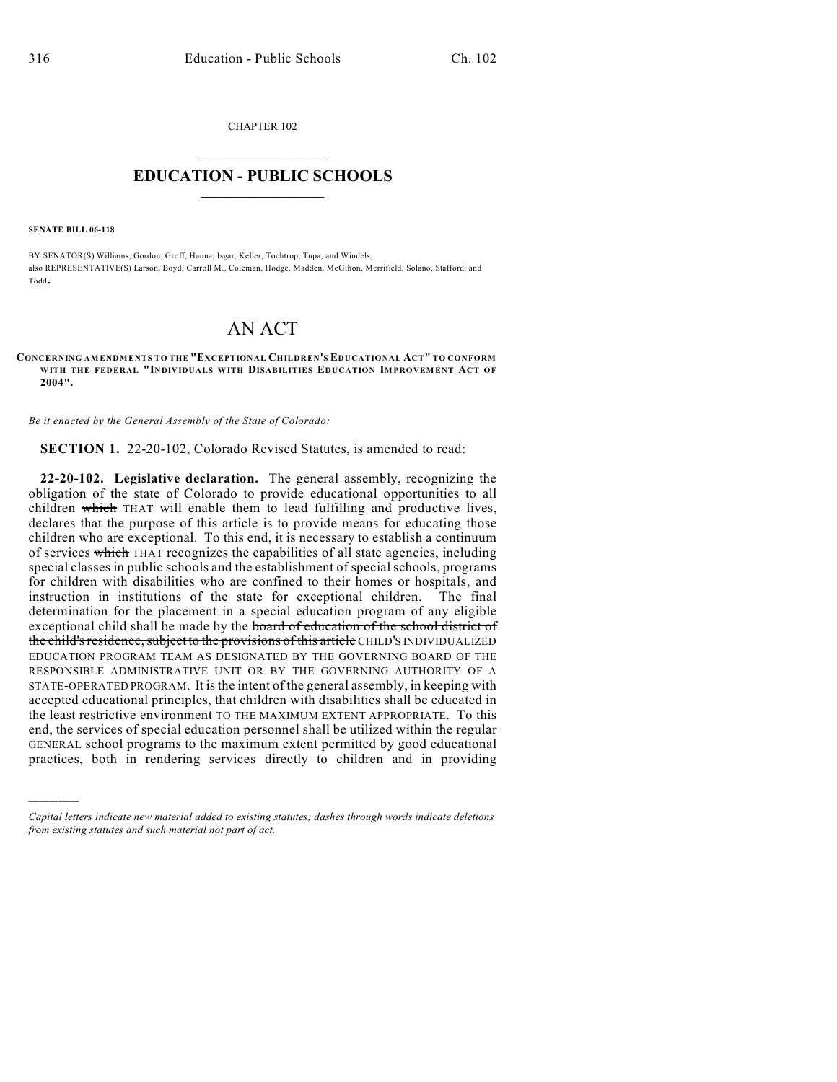CHAPTER 102  $\overline{\phantom{a}}$  . The set of the set of the set of the set of the set of the set of the set of the set of the set of the set of the set of the set of the set of the set of the set of the set of the set of the set of the set o

## **EDUCATION - PUBLIC SCHOOLS**  $\_$   $\_$   $\_$   $\_$   $\_$   $\_$   $\_$   $\_$   $\_$

**SENATE BILL 06-118**

)))))

BY SENATOR(S) Williams, Gordon, Groff, Hanna, Isgar, Keller, Tochtrop, Tupa, and Windels; also REPRESENTATIVE(S) Larson, Boyd, Carroll M., Coleman, Hodge, Madden, McGihon, Merrifield, Solano, Stafford, and Todd.

# AN ACT

#### **CONCERNING AMENDMENTS TO THE "EXCEPTIONAL CHILDREN'S EDUCATIONAL ACT" TO CONFORM WITH THE FEDERAL "INDIVIDUALS WITH DISABILITIES EDUCATION IMPROVEMENT ACT OF 2004".**

*Be it enacted by the General Assembly of the State of Colorado:*

**SECTION 1.** 22-20-102, Colorado Revised Statutes, is amended to read:

**22-20-102. Legislative declaration.** The general assembly, recognizing the obligation of the state of Colorado to provide educational opportunities to all children which THAT will enable them to lead fulfilling and productive lives, declares that the purpose of this article is to provide means for educating those children who are exceptional. To this end, it is necessary to establish a continuum of services which THAT recognizes the capabilities of all state agencies, including special classes in public schools and the establishment of special schools, programs for children with disabilities who are confined to their homes or hospitals, and instruction in institutions of the state for exceptional children. The final determination for the placement in a special education program of any eligible exceptional child shall be made by the board of education of the school district of the child's residence, subject to the provisions of this article CHILD'S INDIVIDUALIZED EDUCATION PROGRAM TEAM AS DESIGNATED BY THE GOVERNING BOARD OF THE RESPONSIBLE ADMINISTRATIVE UNIT OR BY THE GOVERNING AUTHORITY OF A STATE-OPERATED PROGRAM. It is the intent of the general assembly, in keeping with accepted educational principles, that children with disabilities shall be educated in the least restrictive environment TO THE MAXIMUM EXTENT APPROPRIATE. To this end, the services of special education personnel shall be utilized within the regular GENERAL school programs to the maximum extent permitted by good educational practices, both in rendering services directly to children and in providing

*Capital letters indicate new material added to existing statutes; dashes through words indicate deletions from existing statutes and such material not part of act.*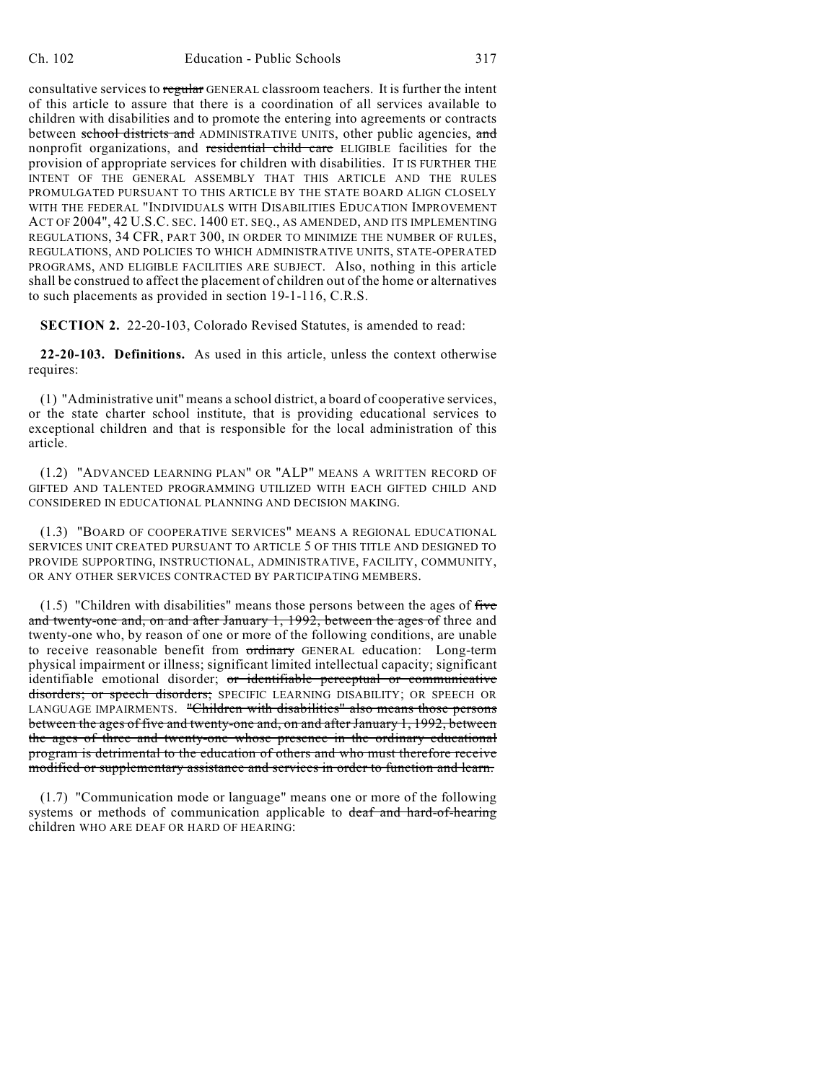consultative services to regular GENERAL classroom teachers. It is further the intent of this article to assure that there is a coordination of all services available to children with disabilities and to promote the entering into agreements or contracts between school districts and ADMINISTRATIVE UNITS, other public agencies, and nonprofit organizations, and residential child care ELIGIBLE facilities for the provision of appropriate services for children with disabilities. IT IS FURTHER THE INTENT OF THE GENERAL ASSEMBLY THAT THIS ARTICLE AND THE RULES PROMULGATED PURSUANT TO THIS ARTICLE BY THE STATE BOARD ALIGN CLOSELY WITH THE FEDERAL "INDIVIDUALS WITH DISABILITIES EDUCATION IMPROVEMENT ACT OF 2004", 42 U.S.C. SEC. 1400 ET. SEQ., AS AMENDED, AND ITS IMPLEMENTING REGULATIONS, 34 CFR, PART 300, IN ORDER TO MINIMIZE THE NUMBER OF RULES, REGULATIONS, AND POLICIES TO WHICH ADMINISTRATIVE UNITS, STATE-OPERATED PROGRAMS, AND ELIGIBLE FACILITIES ARE SUBJECT. Also, nothing in this article shall be construed to affect the placement of children out of the home or alternatives to such placements as provided in section 19-1-116, C.R.S.

**SECTION 2.** 22-20-103, Colorado Revised Statutes, is amended to read:

**22-20-103. Definitions.** As used in this article, unless the context otherwise requires:

(1) "Administrative unit" means a school district, a board of cooperative services, or the state charter school institute, that is providing educational services to exceptional children and that is responsible for the local administration of this article.

(1.2) "ADVANCED LEARNING PLAN" OR "ALP" MEANS A WRITTEN RECORD OF GIFTED AND TALENTED PROGRAMMING UTILIZED WITH EACH GIFTED CHILD AND CONSIDERED IN EDUCATIONAL PLANNING AND DECISION MAKING.

(1.3) "BOARD OF COOPERATIVE SERVICES" MEANS A REGIONAL EDUCATIONAL SERVICES UNIT CREATED PURSUANT TO ARTICLE 5 OF THIS TITLE AND DESIGNED TO PROVIDE SUPPORTING, INSTRUCTIONAL, ADMINISTRATIVE, FACILITY, COMMUNITY, OR ANY OTHER SERVICES CONTRACTED BY PARTICIPATING MEMBERS.

 $(1.5)$  "Children with disabilities" means those persons between the ages of five and twenty-one and, on and after January 1, 1992, between the ages of three and twenty-one who, by reason of one or more of the following conditions, are unable to receive reasonable benefit from ordinary GENERAL education: Long-term physical impairment or illness; significant limited intellectual capacity; significant identifiable emotional disorder; or identifiable perceptual or communicative disorders; or speech disorders; SPECIFIC LEARNING DISABILITY; OR SPEECH OR LANGUAGE IMPAIRMENTS. "Children with disabilities" also means those persons between the ages of five and twenty-one and, on and after January 1, 1992, between the ages of three and twenty-one whose presence in the ordinary educational program is detrimental to the education of others and who must therefore receive modified or supplementary assistance and services in order to function and learn.

(1.7) "Communication mode or language" means one or more of the following systems or methods of communication applicable to deaf and hard-of-hearing children WHO ARE DEAF OR HARD OF HEARING: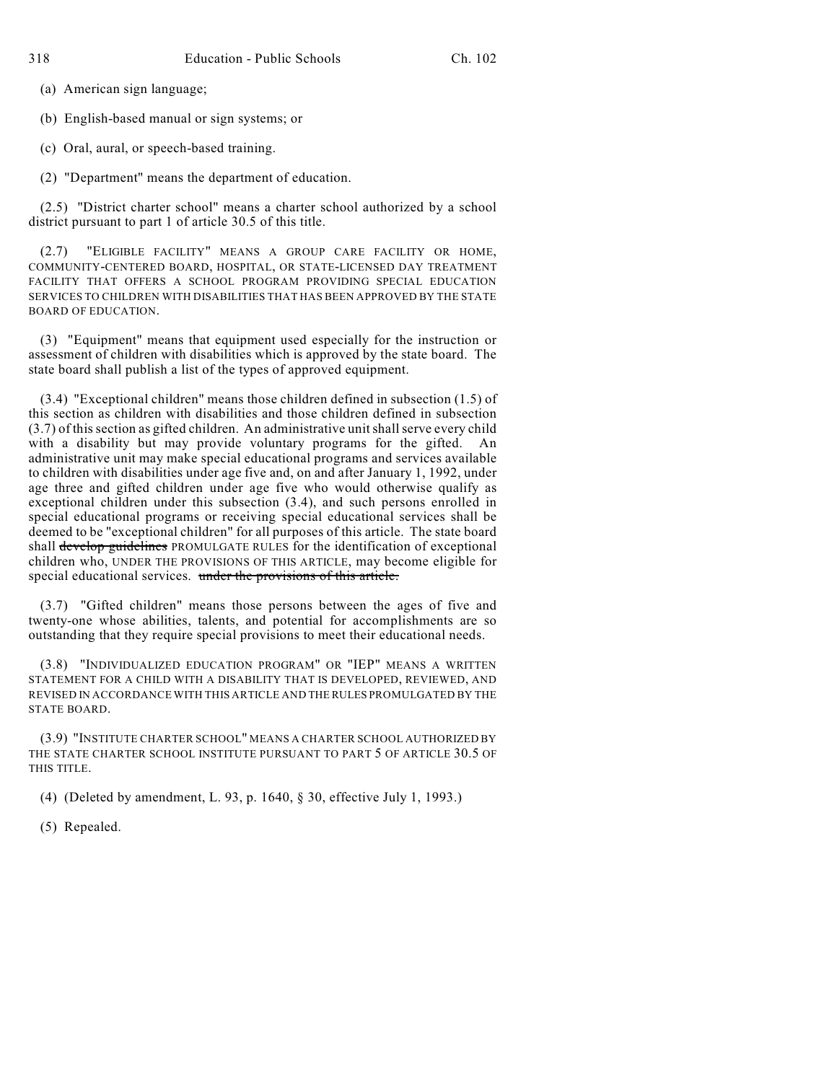(a) American sign language;

(b) English-based manual or sign systems; or

(c) Oral, aural, or speech-based training.

(2) "Department" means the department of education.

(2.5) "District charter school" means a charter school authorized by a school district pursuant to part 1 of article 30.5 of this title.

"ELIGIBLE FACILITY" MEANS A GROUP CARE FACILITY OR HOME, COMMUNITY-CENTERED BOARD, HOSPITAL, OR STATE-LICENSED DAY TREATMENT FACILITY THAT OFFERS A SCHOOL PROGRAM PROVIDING SPECIAL EDUCATION SERVICES TO CHILDREN WITH DISABILITIES THAT HAS BEEN APPROVED BY THE STATE BOARD OF EDUCATION.

(3) "Equipment" means that equipment used especially for the instruction or assessment of children with disabilities which is approved by the state board. The state board shall publish a list of the types of approved equipment.

(3.4) "Exceptional children" means those children defined in subsection (1.5) of this section as children with disabilities and those children defined in subsection (3.7) of this section as gifted children. An administrative unit shall serve every child with a disability but may provide voluntary programs for the gifted. An administrative unit may make special educational programs and services available to children with disabilities under age five and, on and after January 1, 1992, under age three and gifted children under age five who would otherwise qualify as exceptional children under this subsection (3.4), and such persons enrolled in special educational programs or receiving special educational services shall be deemed to be "exceptional children" for all purposes of this article. The state board shall develop guidelines PROMULGATE RULES for the identification of exceptional children who, UNDER THE PROVISIONS OF THIS ARTICLE, may become eligible for special educational services. under the provisions of this article.

(3.7) "Gifted children" means those persons between the ages of five and twenty-one whose abilities, talents, and potential for accomplishments are so outstanding that they require special provisions to meet their educational needs.

(3.8) "INDIVIDUALIZED EDUCATION PROGRAM" OR "IEP" MEANS A WRITTEN STATEMENT FOR A CHILD WITH A DISABILITY THAT IS DEVELOPED, REVIEWED, AND REVISED IN ACCORDANCE WITH THIS ARTICLE AND THE RULES PROMULGATED BY THE STATE BOARD.

(3.9) "INSTITUTE CHARTER SCHOOL" MEANS A CHARTER SCHOOL AUTHORIZED BY THE STATE CHARTER SCHOOL INSTITUTE PURSUANT TO PART 5 OF ARTICLE 30.5 OF THIS TITLE.

(4) (Deleted by amendment, L. 93, p. 1640, § 30, effective July 1, 1993.)

(5) Repealed.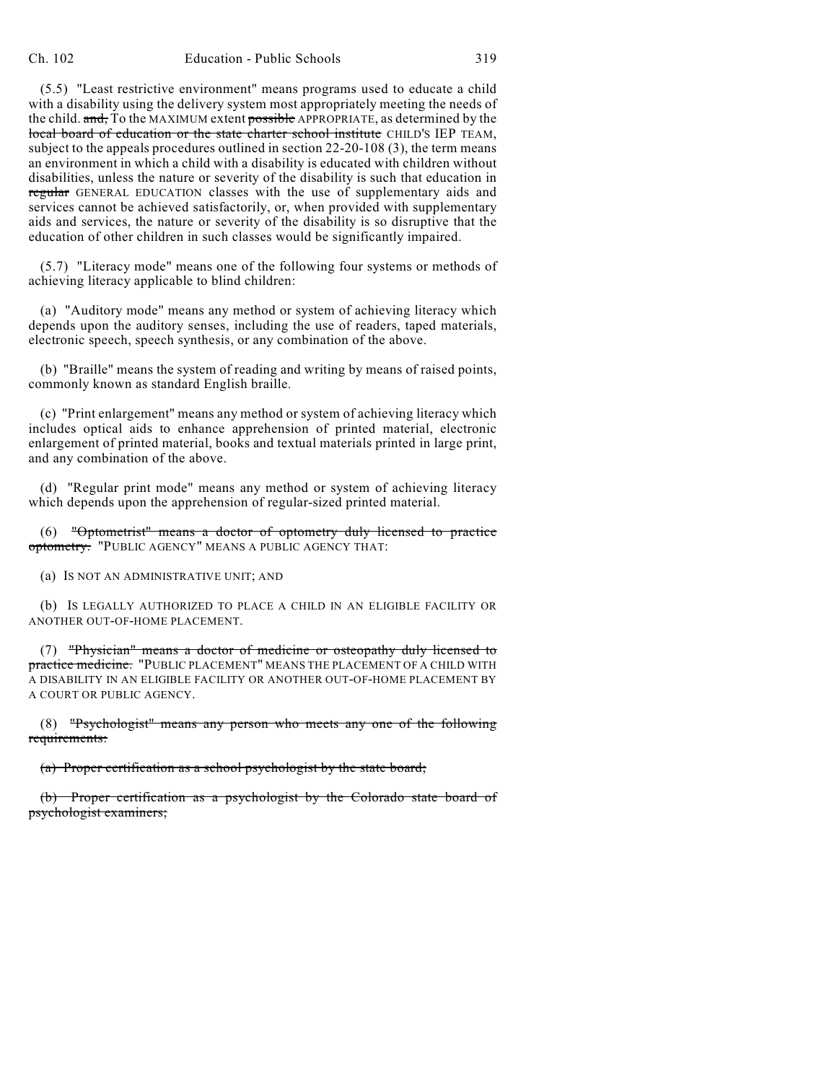(5.5) "Least restrictive environment" means programs used to educate a child with a disability using the delivery system most appropriately meeting the needs of the child. and, To the MAXIMUM extent possible APPROPRIATE, as determined by the local board of education or the state charter school institute CHILD'S IEP TEAM, subject to the appeals procedures outlined in section 22-20-108 (3), the term means an environment in which a child with a disability is educated with children without disabilities, unless the nature or severity of the disability is such that education in regular GENERAL EDUCATION classes with the use of supplementary aids and services cannot be achieved satisfactorily, or, when provided with supplementary aids and services, the nature or severity of the disability is so disruptive that the education of other children in such classes would be significantly impaired.

(5.7) "Literacy mode" means one of the following four systems or methods of achieving literacy applicable to blind children:

(a) "Auditory mode" means any method or system of achieving literacy which depends upon the auditory senses, including the use of readers, taped materials, electronic speech, speech synthesis, or any combination of the above.

(b) "Braille" means the system of reading and writing by means of raised points, commonly known as standard English braille.

(c) "Print enlargement" means any method or system of achieving literacy which includes optical aids to enhance apprehension of printed material, electronic enlargement of printed material, books and textual materials printed in large print, and any combination of the above.

(d) "Regular print mode" means any method or system of achieving literacy which depends upon the apprehension of regular-sized printed material.

(6) "Optometrist" means a doctor of optometry duly licensed to practice optometry. "PUBLIC AGENCY" MEANS A PUBLIC AGENCY THAT:

(a) IS NOT AN ADMINISTRATIVE UNIT; AND

(b) IS LEGALLY AUTHORIZED TO PLACE A CHILD IN AN ELIGIBLE FACILITY OR ANOTHER OUT-OF-HOME PLACEMENT.

(7) "Physician" means a doctor of medicine or osteopathy duly licensed to practice medicine. "PUBLIC PLACEMENT" MEANS THE PLACEMENT OF A CHILD WITH A DISABILITY IN AN ELIGIBLE FACILITY OR ANOTHER OUT-OF-HOME PLACEMENT BY A COURT OR PUBLIC AGENCY.

(8) "Psychologist" means any person who meets any one of the following requirements:

(a) Proper certification as a school psychologist by the state board;

(b) Proper certification as a psychologist by the Colorado state board of psychologist examiners;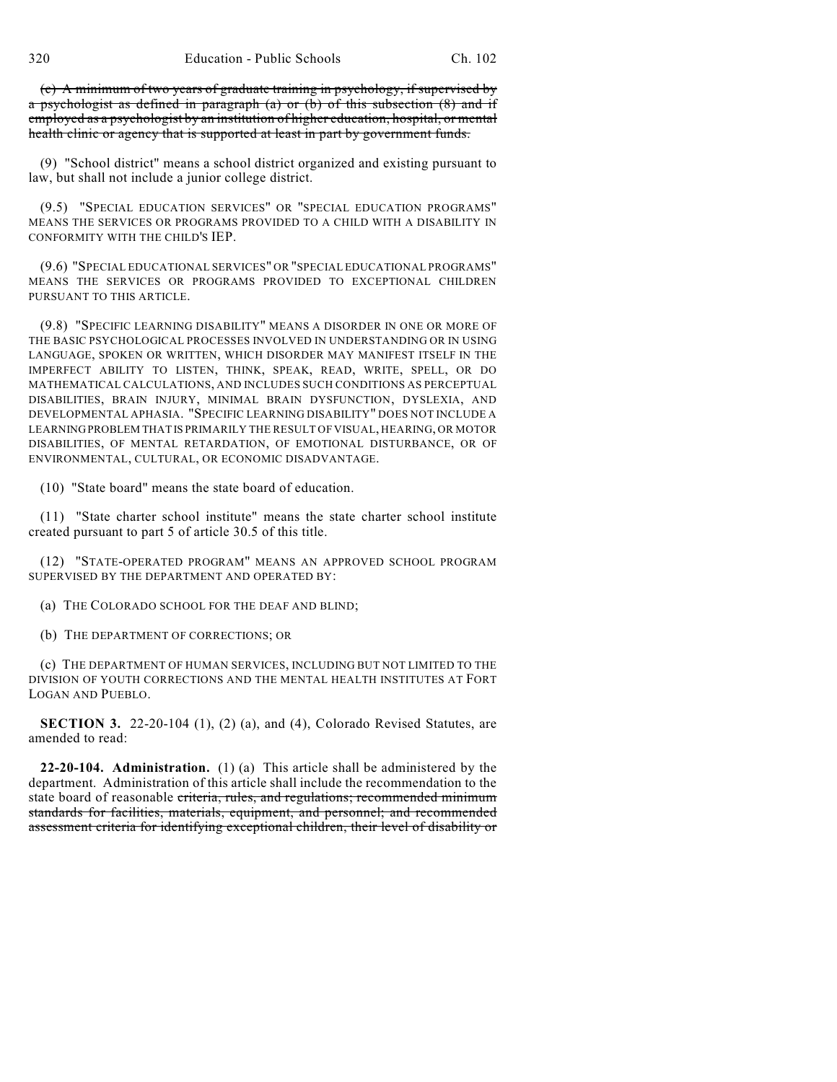(c) A minimum of two years of graduate training in psychology, if supervised by a psychologist as defined in paragraph (a) or (b) of this subsection (8) and if employed as a psychologist by an institution of higher education, hospital, or mental health clinic or agency that is supported at least in part by government funds.

(9) "School district" means a school district organized and existing pursuant to law, but shall not include a junior college district.

(9.5) "SPECIAL EDUCATION SERVICES" OR "SPECIAL EDUCATION PROGRAMS" MEANS THE SERVICES OR PROGRAMS PROVIDED TO A CHILD WITH A DISABILITY IN CONFORMITY WITH THE CHILD'S IEP.

(9.6) "SPECIAL EDUCATIONAL SERVICES" OR "SPECIAL EDUCATIONAL PROGRAMS" MEANS THE SERVICES OR PROGRAMS PROVIDED TO EXCEPTIONAL CHILDREN PURSUANT TO THIS ARTICLE.

(9.8) "SPECIFIC LEARNING DISABILITY" MEANS A DISORDER IN ONE OR MORE OF THE BASIC PSYCHOLOGICAL PROCESSES INVOLVED IN UNDERSTANDING OR IN USING LANGUAGE, SPOKEN OR WRITTEN, WHICH DISORDER MAY MANIFEST ITSELF IN THE IMPERFECT ABILITY TO LISTEN, THINK, SPEAK, READ, WRITE, SPELL, OR DO MATHEMATICAL CALCULATIONS, AND INCLUDES SUCH CONDITIONS AS PERCEPTUAL DISABILITIES, BRAIN INJURY, MINIMAL BRAIN DYSFUNCTION, DYSLEXIA, AND DEVELOPMENTAL APHASIA. "SPECIFIC LEARNING DISABILITY" DOES NOT INCLUDE A LEARNING PROBLEM THAT IS PRIMARILY THE RESULT OF VISUAL, HEARING, OR MOTOR DISABILITIES, OF MENTAL RETARDATION, OF EMOTIONAL DISTURBANCE, OR OF ENVIRONMENTAL, CULTURAL, OR ECONOMIC DISADVANTAGE.

(10) "State board" means the state board of education.

(11) "State charter school institute" means the state charter school institute created pursuant to part 5 of article 30.5 of this title.

(12) "STATE-OPERATED PROGRAM" MEANS AN APPROVED SCHOOL PROGRAM SUPERVISED BY THE DEPARTMENT AND OPERATED BY:

(a) THE COLORADO SCHOOL FOR THE DEAF AND BLIND;

(b) THE DEPARTMENT OF CORRECTIONS; OR

(c) THE DEPARTMENT OF HUMAN SERVICES, INCLUDING BUT NOT LIMITED TO THE DIVISION OF YOUTH CORRECTIONS AND THE MENTAL HEALTH INSTITUTES AT FORT LOGAN AND PUEBLO.

**SECTION 3.** 22-20-104 (1), (2) (a), and (4), Colorado Revised Statutes, are amended to read:

**22-20-104. Administration.** (1) (a) This article shall be administered by the department. Administration of this article shall include the recommendation to the state board of reasonable criteria, rules, and regulations; recommended minimum standards for facilities, materials, equipment, and personnel; and recommended assessment criteria for identifying exceptional children, their level of disability or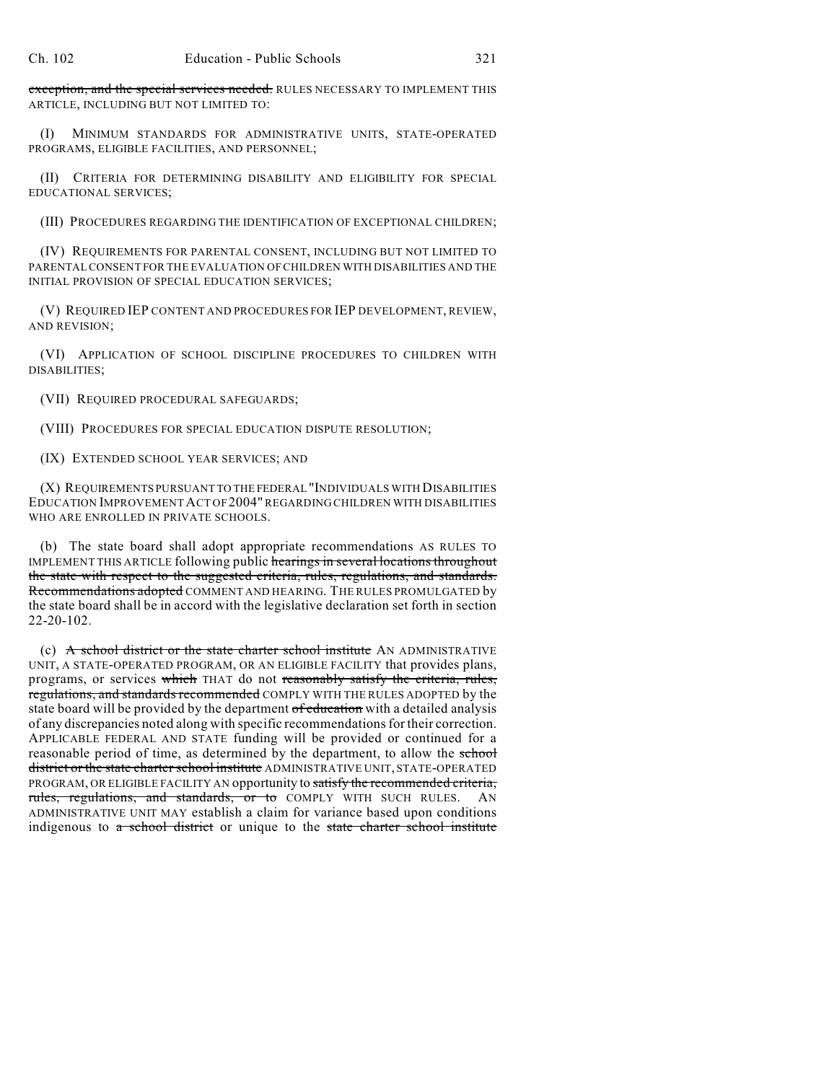exception, and the special services needed. RULES NECESSARY TO IMPLEMENT THIS ARTICLE, INCLUDING BUT NOT LIMITED TO:

(I) MINIMUM STANDARDS FOR ADMINISTRATIVE UNITS, STATE-OPERATED PROGRAMS, ELIGIBLE FACILITIES, AND PERSONNEL;

(II) CRITERIA FOR DETERMINING DISABILITY AND ELIGIBILITY FOR SPECIAL EDUCATIONAL SERVICES;

(III) PROCEDURES REGARDING THE IDENTIFICATION OF EXCEPTIONAL CHILDREN;

(IV) REQUIREMENTS FOR PARENTAL CONSENT, INCLUDING BUT NOT LIMITED TO PARENTAL CONSENT FOR THE EVALUATION OF CHILDREN WITH DISABILITIES AND THE INITIAL PROVISION OF SPECIAL EDUCATION SERVICES;

(V) REQUIRED IEP CONTENT AND PROCEDURES FOR IEP DEVELOPMENT, REVIEW, AND REVISION;

(VI) APPLICATION OF SCHOOL DISCIPLINE PROCEDURES TO CHILDREN WITH DISABILITIES;

(VII) REQUIRED PROCEDURAL SAFEGUARDS;

(VIII) PROCEDURES FOR SPECIAL EDUCATION DISPUTE RESOLUTION;

(IX) EXTENDED SCHOOL YEAR SERVICES; AND

(X) REQUIREMENTS PURSUANT TO THE FEDERAL "INDIVIDUALS WITH DISABILITIES EDUCATION IMPROVEMENT ACT OF 2004" REGARDING CHILDREN WITH DISABILITIES WHO ARE ENROLLED IN PRIVATE SCHOOLS.

(b) The state board shall adopt appropriate recommendations AS RULES TO IMPLEMENT THIS ARTICLE following public hearings in several locations throughout the state with respect to the suggested criteria, rules, regulations, and standards. Recommendations adopted COMMENT AND HEARING. THE RULES PROMULGATED by the state board shall be in accord with the legislative declaration set forth in section 22-20-102.

(c) A school district or the state charter school institute AN ADMINISTRATIVE UNIT, A STATE-OPERATED PROGRAM, OR AN ELIGIBLE FACILITY that provides plans, programs, or services which THAT do not reasonably satisfy the criteria, rules, regulations, and standards recommended COMPLY WITH THE RULES ADOPTED by the state board will be provided by the department of education with a detailed analysis of any discrepancies noted along with specific recommendations for their correction. APPLICABLE FEDERAL AND STATE funding will be provided or continued for a reasonable period of time, as determined by the department, to allow the school district or the state charter school institute ADMINISTRATIVE UNIT, STATE-OPERATED PROGRAM, OR ELIGIBLE FACILITY AN opportunity to satisfy the recommended criteria, rules, regulations, and standards, or to COMPLY WITH SUCH RULES. AN ADMINISTRATIVE UNIT MAY establish a claim for variance based upon conditions indigenous to a school district or unique to the state charter school institute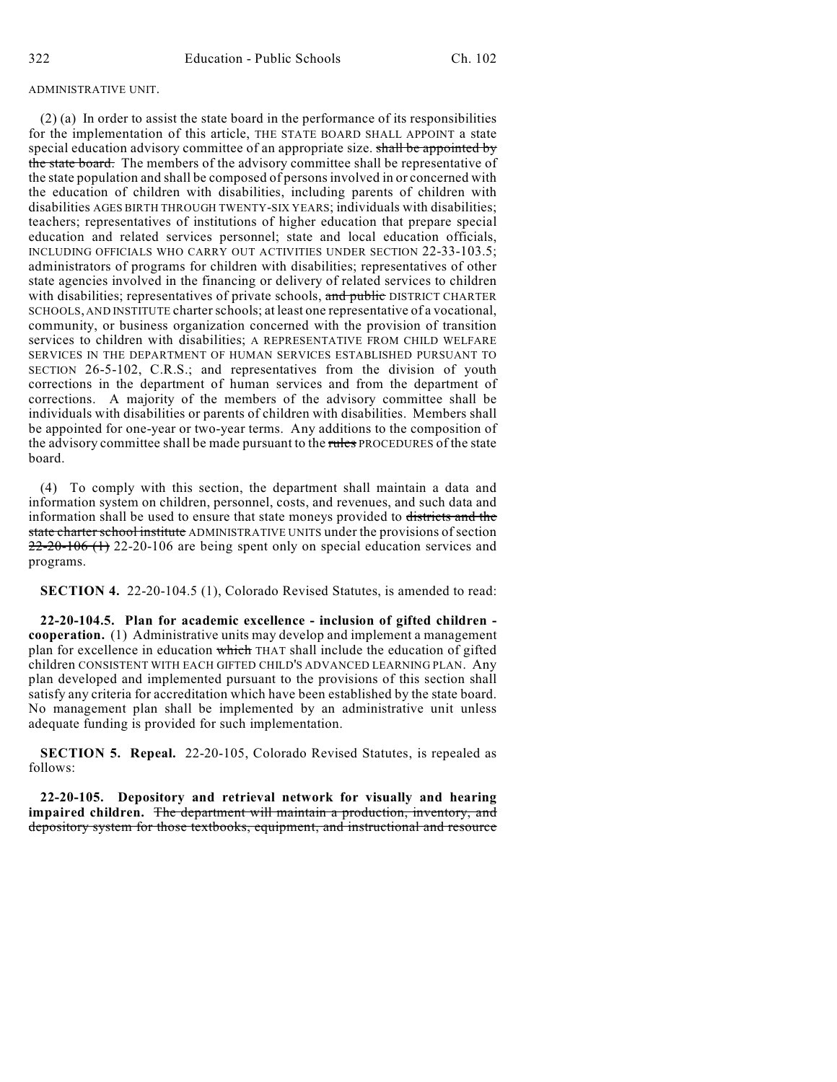### ADMINISTRATIVE UNIT.

(2) (a) In order to assist the state board in the performance of its responsibilities for the implementation of this article, THE STATE BOARD SHALL APPOINT a state special education advisory committee of an appropriate size. shall be appointed by the state board. The members of the advisory committee shall be representative of the state population and shall be composed of persons involved in or concerned with the education of children with disabilities, including parents of children with disabilities AGES BIRTH THROUGH TWENTY-SIX YEARS; individuals with disabilities; teachers; representatives of institutions of higher education that prepare special education and related services personnel; state and local education officials, INCLUDING OFFICIALS WHO CARRY OUT ACTIVITIES UNDER SECTION 22-33-103.5; administrators of programs for children with disabilities; representatives of other state agencies involved in the financing or delivery of related services to children with disabilities; representatives of private schools, and public DISTRICT CHARTER SCHOOLS, AND INSTITUTE charter schools; at least one representative of a vocational, community, or business organization concerned with the provision of transition services to children with disabilities; A REPRESENTATIVE FROM CHILD WELFARE SERVICES IN THE DEPARTMENT OF HUMAN SERVICES ESTABLISHED PURSUANT TO SECTION 26-5-102, C.R.S.; and representatives from the division of youth corrections in the department of human services and from the department of corrections. A majority of the members of the advisory committee shall be individuals with disabilities or parents of children with disabilities. Members shall be appointed for one-year or two-year terms. Any additions to the composition of the advisory committee shall be made pursuant to the rules PROCEDURES of the state board.

(4) To comply with this section, the department shall maintain a data and information system on children, personnel, costs, and revenues, and such data and information shall be used to ensure that state moneys provided to districts and the state charter school institute ADMINISTRATIVE UNITS under the provisions of section 22-20-106 (1) 22-20-106 are being spent only on special education services and programs.

**SECTION 4.** 22-20-104.5 (1), Colorado Revised Statutes, is amended to read:

**22-20-104.5. Plan for academic excellence - inclusion of gifted children cooperation.** (1) Administrative units may develop and implement a management plan for excellence in education which THAT shall include the education of gifted children CONSISTENT WITH EACH GIFTED CHILD'S ADVANCED LEARNING PLAN. Any plan developed and implemented pursuant to the provisions of this section shall satisfy any criteria for accreditation which have been established by the state board. No management plan shall be implemented by an administrative unit unless adequate funding is provided for such implementation.

**SECTION 5. Repeal.** 22-20-105, Colorado Revised Statutes, is repealed as follows:

**22-20-105. Depository and retrieval network for visually and hearing impaired children.** The department will maintain a production, inventory, and depository system for those textbooks, equipment, and instructional and resource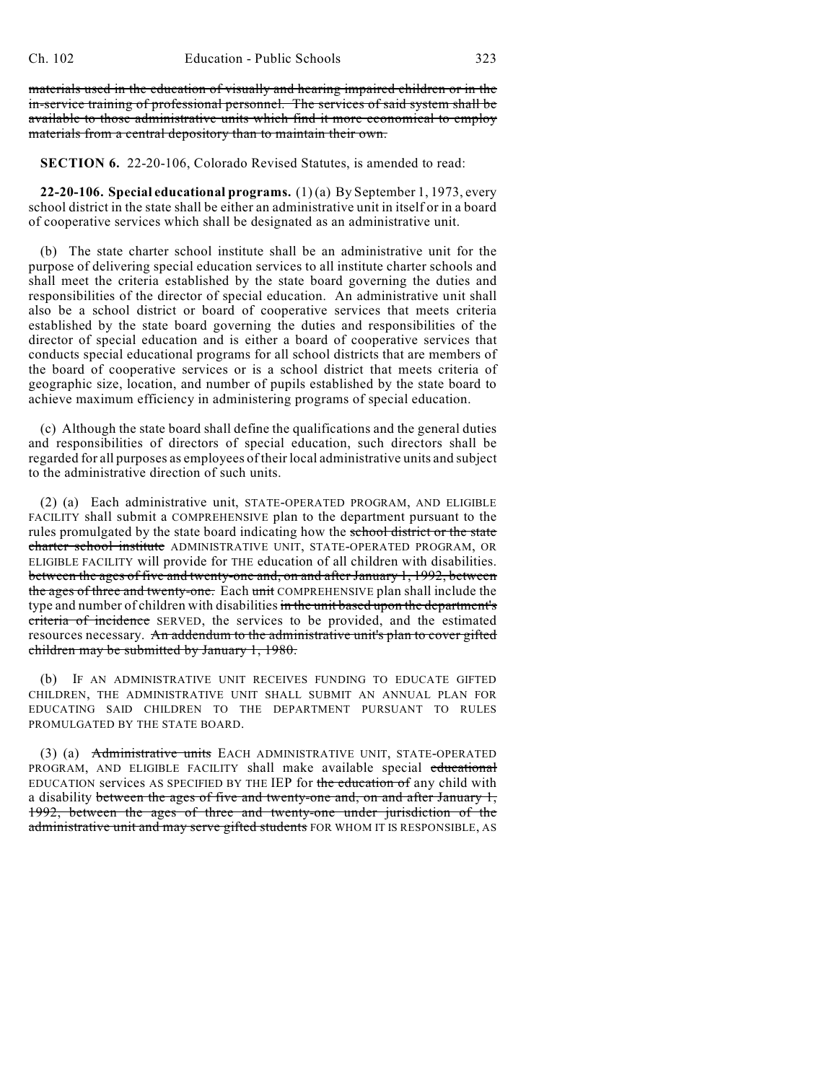materials used in the education of visually and hearing impaired children or in the in-service training of professional personnel. The services of said system shall be available to those administrative units which find it more economical to employ materials from a central depository than to maintain their own.

**SECTION 6.** 22-20-106, Colorado Revised Statutes, is amended to read:

**22-20-106. Special educational programs.** (1) (a) By September 1, 1973, every school district in the state shall be either an administrative unit in itself or in a board of cooperative services which shall be designated as an administrative unit.

(b) The state charter school institute shall be an administrative unit for the purpose of delivering special education services to all institute charter schools and shall meet the criteria established by the state board governing the duties and responsibilities of the director of special education. An administrative unit shall also be a school district or board of cooperative services that meets criteria established by the state board governing the duties and responsibilities of the director of special education and is either a board of cooperative services that conducts special educational programs for all school districts that are members of the board of cooperative services or is a school district that meets criteria of geographic size, location, and number of pupils established by the state board to achieve maximum efficiency in administering programs of special education.

(c) Although the state board shall define the qualifications and the general duties and responsibilities of directors of special education, such directors shall be regarded for all purposes as employees of their local administrative units and subject to the administrative direction of such units.

(2) (a) Each administrative unit, STATE-OPERATED PROGRAM, AND ELIGIBLE FACILITY shall submit a COMPREHENSIVE plan to the department pursuant to the rules promulgated by the state board indicating how the school district or the state charter school institute ADMINISTRATIVE UNIT, STATE-OPERATED PROGRAM, OR ELIGIBLE FACILITY will provide for THE education of all children with disabilities. between the ages of five and twenty-one and, on and after January 1, 1992, between the ages of three and twenty-one. Each unit COMPREHENSIVE plan shall include the type and number of children with disabilities in the unit based upon the department's criteria of incidence SERVED, the services to be provided, and the estimated resources necessary. An addendum to the administrative unit's plan to cover gifted children may be submitted by January 1, 1980.

(b) IF AN ADMINISTRATIVE UNIT RECEIVES FUNDING TO EDUCATE GIFTED CHILDREN, THE ADMINISTRATIVE UNIT SHALL SUBMIT AN ANNUAL PLAN FOR EDUCATING SAID CHILDREN TO THE DEPARTMENT PURSUANT TO RULES PROMULGATED BY THE STATE BOARD.

(3) (a) Administrative units EACH ADMINISTRATIVE UNIT, STATE-OPERATED PROGRAM, AND ELIGIBLE FACILITY shall make available special educational EDUCATION services AS SPECIFIED BY THE IEP for the education of any child with a disability between the ages of five and twenty-one and, on and after January 1, 1992, between the ages of three and twenty-one under jurisdiction of the administrative unit and may serve gifted students FOR WHOM IT IS RESPONSIBLE, AS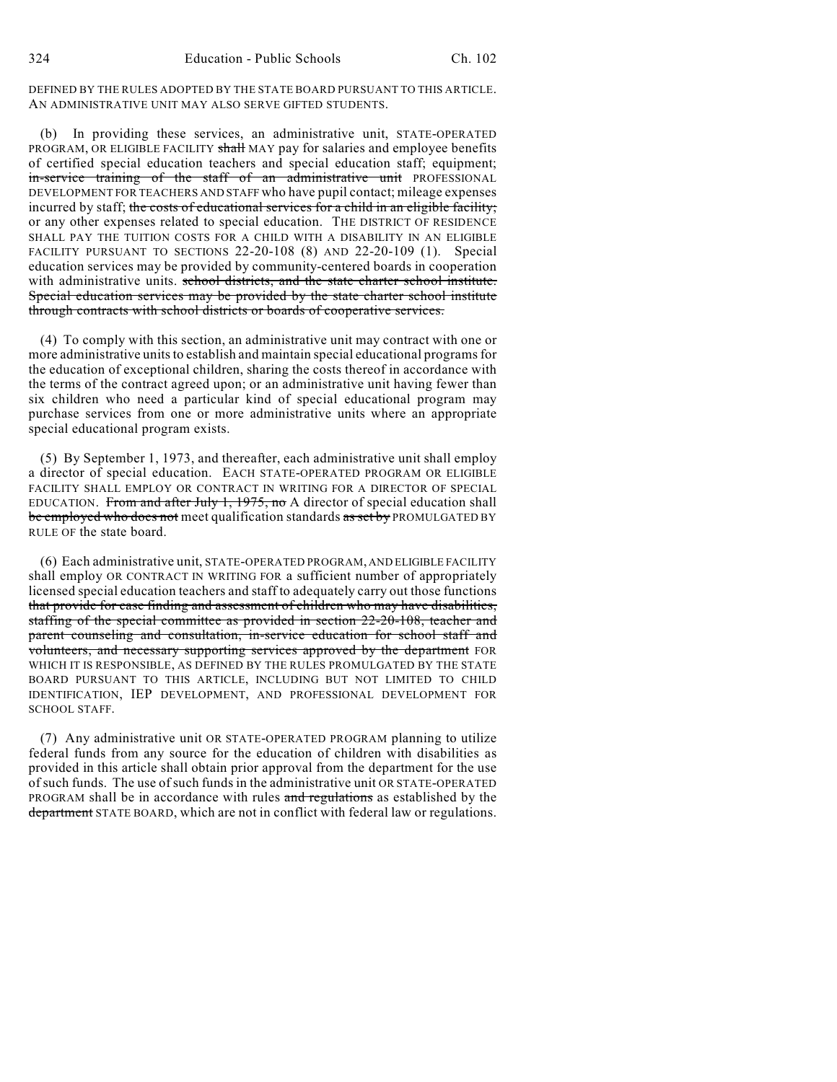DEFINED BY THE RULES ADOPTED BY THE STATE BOARD PURSUANT TO THIS ARTICLE. AN ADMINISTRATIVE UNIT MAY ALSO SERVE GIFTED STUDENTS.

(b) In providing these services, an administrative unit, STATE-OPERATED PROGRAM, OR ELIGIBLE FACILITY shall MAY pay for salaries and employee benefits of certified special education teachers and special education staff; equipment; in-service training of the staff of an administrative unit PROFESSIONAL DEVELOPMENT FOR TEACHERS AND STAFF who have pupil contact; mileage expenses incurred by staff; the costs of educational services for a child in an eligible facility; or any other expenses related to special education. THE DISTRICT OF RESIDENCE SHALL PAY THE TUITION COSTS FOR A CHILD WITH A DISABILITY IN AN ELIGIBLE FACILITY PURSUANT TO SECTIONS 22-20-108 (8) AND 22-20-109 (1). Special education services may be provided by community-centered boards in cooperation with administrative units. school districts, and the state charter school institute. Special education services may be provided by the state charter school institute through contracts with school districts or boards of cooperative services.

(4) To comply with this section, an administrative unit may contract with one or more administrative units to establish and maintain special educational programs for the education of exceptional children, sharing the costs thereof in accordance with the terms of the contract agreed upon; or an administrative unit having fewer than six children who need a particular kind of special educational program may purchase services from one or more administrative units where an appropriate special educational program exists.

(5) By September 1, 1973, and thereafter, each administrative unit shall employ a director of special education. EACH STATE-OPERATED PROGRAM OR ELIGIBLE FACILITY SHALL EMPLOY OR CONTRACT IN WRITING FOR A DIRECTOR OF SPECIAL EDUCATION. From and after July 1, 1975, no A director of special education shall be employed who does not meet qualification standards as set by PROMULGATED BY RULE OF the state board.

(6) Each administrative unit, STATE-OPERATED PROGRAM, AND ELIGIBLE FACILITY shall employ OR CONTRACT IN WRITING FOR a sufficient number of appropriately licensed special education teachers and staff to adequately carry out those functions that provide for case finding and assessment of children who may have disabilities, staffing of the special committee as provided in section 22-20-108, teacher and parent counseling and consultation, in-service education for school staff and volunteers, and necessary supporting services approved by the department FOR WHICH IT IS RESPONSIBLE, AS DEFINED BY THE RULES PROMULGATED BY THE STATE BOARD PURSUANT TO THIS ARTICLE, INCLUDING BUT NOT LIMITED TO CHILD IDENTIFICATION, IEP DEVELOPMENT, AND PROFESSIONAL DEVELOPMENT FOR SCHOOL STAFF.

(7) Any administrative unit OR STATE-OPERATED PROGRAM planning to utilize federal funds from any source for the education of children with disabilities as provided in this article shall obtain prior approval from the department for the use of such funds. The use of such funds in the administrative unit OR STATE-OPERATED PROGRAM shall be in accordance with rules and regulations as established by the department STATE BOARD, which are not in conflict with federal law or regulations.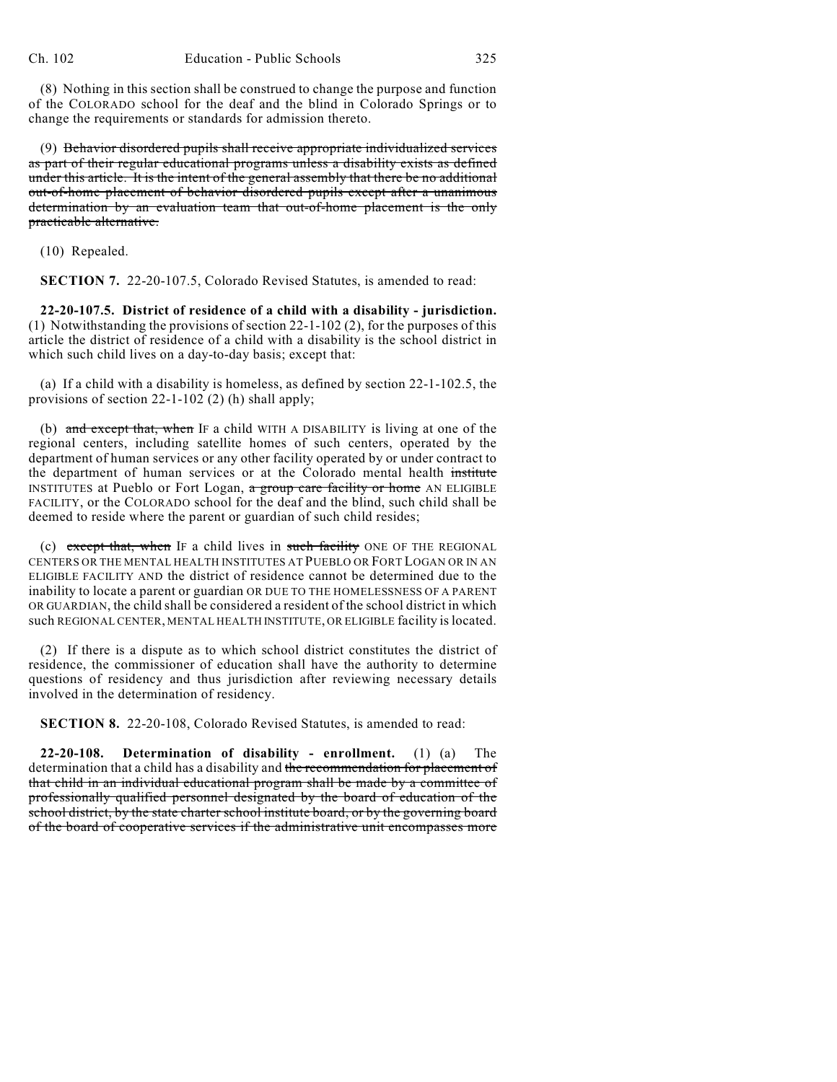(8) Nothing in this section shall be construed to change the purpose and function of the COLORADO school for the deaf and the blind in Colorado Springs or to change the requirements or standards for admission thereto.

(9) Behavior disordered pupils shall receive appropriate individualized services as part of their regular educational programs unless a disability exists as defined under this article. It is the intent of the general assembly that there be no additional out-of-home placement of behavior disordered pupils except after a unanimous determination by an evaluation team that out-of-home placement is the only practicable alternative.

(10) Repealed.

**SECTION 7.** 22-20-107.5, Colorado Revised Statutes, is amended to read:

**22-20-107.5. District of residence of a child with a disability - jurisdiction.** (1) Notwithstanding the provisions of section 22-1-102 (2), for the purposes of this article the district of residence of a child with a disability is the school district in which such child lives on a day-to-day basis; except that:

(a) If a child with a disability is homeless, as defined by section 22-1-102.5, the provisions of section 22-1-102 (2) (h) shall apply;

(b) and except that, when IF a child WITH A DISABILITY is living at one of the regional centers, including satellite homes of such centers, operated by the department of human services or any other facility operated by or under contract to the department of human services or at the Colorado mental health institute INSTITUTES at Pueblo or Fort Logan, a group care facility or home AN ELIGIBLE FACILITY, or the COLORADO school for the deaf and the blind, such child shall be deemed to reside where the parent or guardian of such child resides;

(c) except that, when IF a child lives in such facility ONE OF THE REGIONAL CENTERS OR THE MENTAL HEALTH INSTITUTES AT PUEBLO OR FORT LOGAN OR IN AN ELIGIBLE FACILITY AND the district of residence cannot be determined due to the inability to locate a parent or guardian OR DUE TO THE HOMELESSNESS OF A PARENT OR GUARDIAN, the child shall be considered a resident of the school district in which such REGIONAL CENTER, MENTAL HEALTH INSTITUTE, OR ELIGIBLE facility is located.

(2) If there is a dispute as to which school district constitutes the district of residence, the commissioner of education shall have the authority to determine questions of residency and thus jurisdiction after reviewing necessary details involved in the determination of residency.

**SECTION 8.** 22-20-108, Colorado Revised Statutes, is amended to read:

**22-20-108. Determination of disability - enrollment.** (1) (a) The determination that a child has a disability and the recommendation for placement of that child in an individual educational program shall be made by a committee of professionally qualified personnel designated by the board of education of the school district, by the state charter school institute board, or by the governing board of the board of cooperative services if the administrative unit encompasses more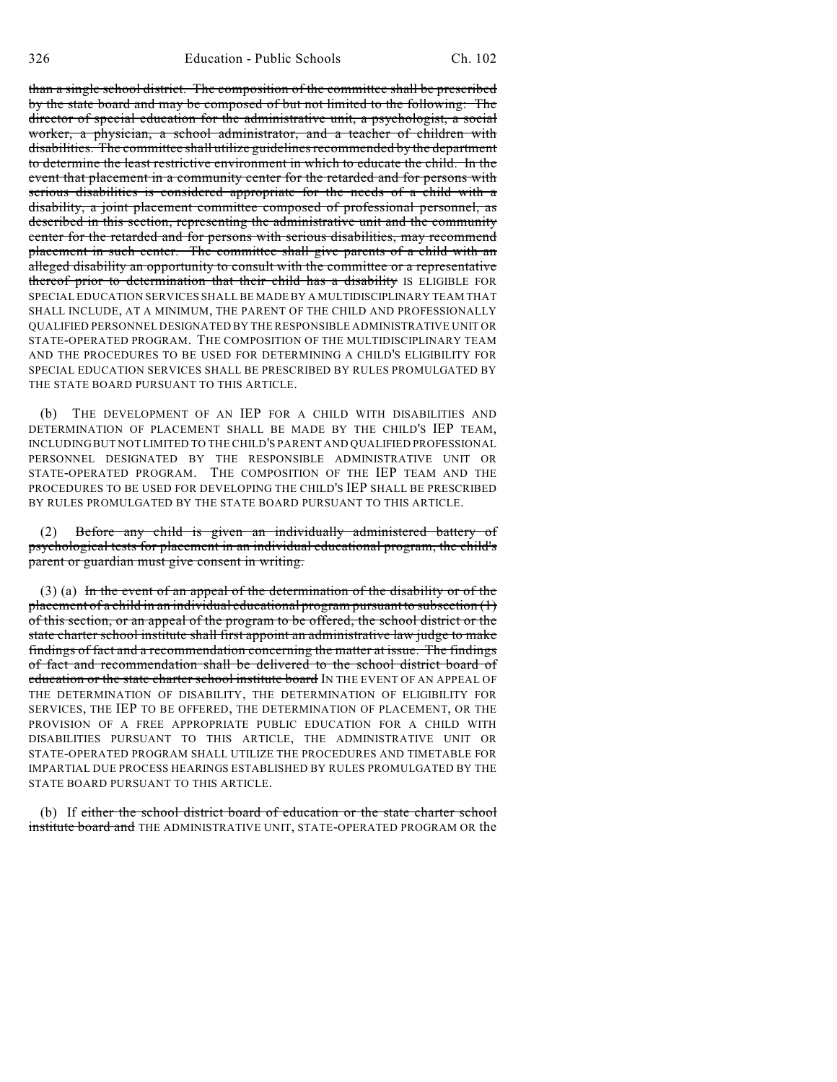than a single school district. The composition of the committee shall be prescribed by the state board and may be composed of but not limited to the following: The director of special education for the administrative unit, a psychologist, a social worker, a physician, a school administrator, and a teacher of children with disabilities. The committee shall utilize guidelines recommended by the department to determine the least restrictive environment in which to educate the child. In the event that placement in a community center for the retarded and for persons with serious disabilities is considered appropriate for the needs of a child with a disability, a joint placement committee composed of professional personnel, as described in this section, representing the administrative unit and the community center for the retarded and for persons with serious disabilities, may recommend placement in such center. The committee shall give parents of a child with an alleged disability an opportunity to consult with the committee or a representative thereof prior to determination that their child has a disability IS ELIGIBLE FOR SPECIAL EDUCATION SERVICES SHALL BE MADE BY A MULTIDISCIPLINARY TEAM THAT SHALL INCLUDE, AT A MINIMUM, THE PARENT OF THE CHILD AND PROFESSIONALLY QUALIFIED PERSONNEL DESIGNATED BY THE RESPONSIBLE ADMINISTRATIVE UNIT OR STATE-OPERATED PROGRAM. THE COMPOSITION OF THE MULTIDISCIPLINARY TEAM AND THE PROCEDURES TO BE USED FOR DETERMINING A CHILD'S ELIGIBILITY FOR SPECIAL EDUCATION SERVICES SHALL BE PRESCRIBED BY RULES PROMULGATED BY THE STATE BOARD PURSUANT TO THIS ARTICLE.

(b) THE DEVELOPMENT OF AN IEP FOR A CHILD WITH DISABILITIES AND DETERMINATION OF PLACEMENT SHALL BE MADE BY THE CHILD'S IEP TEAM, INCLUDING BUT NOT LIMITED TO THE CHILD'S PARENT AND QUALIFIED PROFESSIONAL PERSONNEL DESIGNATED BY THE RESPONSIBLE ADMINISTRATIVE UNIT OR STATE-OPERATED PROGRAM. THE COMPOSITION OF THE IEP TEAM AND THE PROCEDURES TO BE USED FOR DEVELOPING THE CHILD'S IEP SHALL BE PRESCRIBED BY RULES PROMULGATED BY THE STATE BOARD PURSUANT TO THIS ARTICLE.

(2) Before any child is given an individually administered battery of psychological tests for placement in an individual educational program, the child's parent or guardian must give consent in writing.

(3) (a) In the event of an appeal of the determination of the disability or of the placement of a child in an individual educational program pursuant to subsection  $(1)$ of this section, or an appeal of the program to be offered, the school district or the state charter school institute shall first appoint an administrative law judge to make findings of fact and a recommendation concerning the matter at issue. The findings of fact and recommendation shall be delivered to the school district board of education or the state charter school institute board IN THE EVENT OF AN APPEAL OF THE DETERMINATION OF DISABILITY, THE DETERMINATION OF ELIGIBILITY FOR SERVICES, THE IEP TO BE OFFERED, THE DETERMINATION OF PLACEMENT, OR THE PROVISION OF A FREE APPROPRIATE PUBLIC EDUCATION FOR A CHILD WITH DISABILITIES PURSUANT TO THIS ARTICLE, THE ADMINISTRATIVE UNIT OR STATE-OPERATED PROGRAM SHALL UTILIZE THE PROCEDURES AND TIMETABLE FOR IMPARTIAL DUE PROCESS HEARINGS ESTABLISHED BY RULES PROMULGATED BY THE STATE BOARD PURSUANT TO THIS ARTICLE.

(b) If either the school district board of education or the state charter school institute board and THE ADMINISTRATIVE UNIT, STATE-OPERATED PROGRAM OR the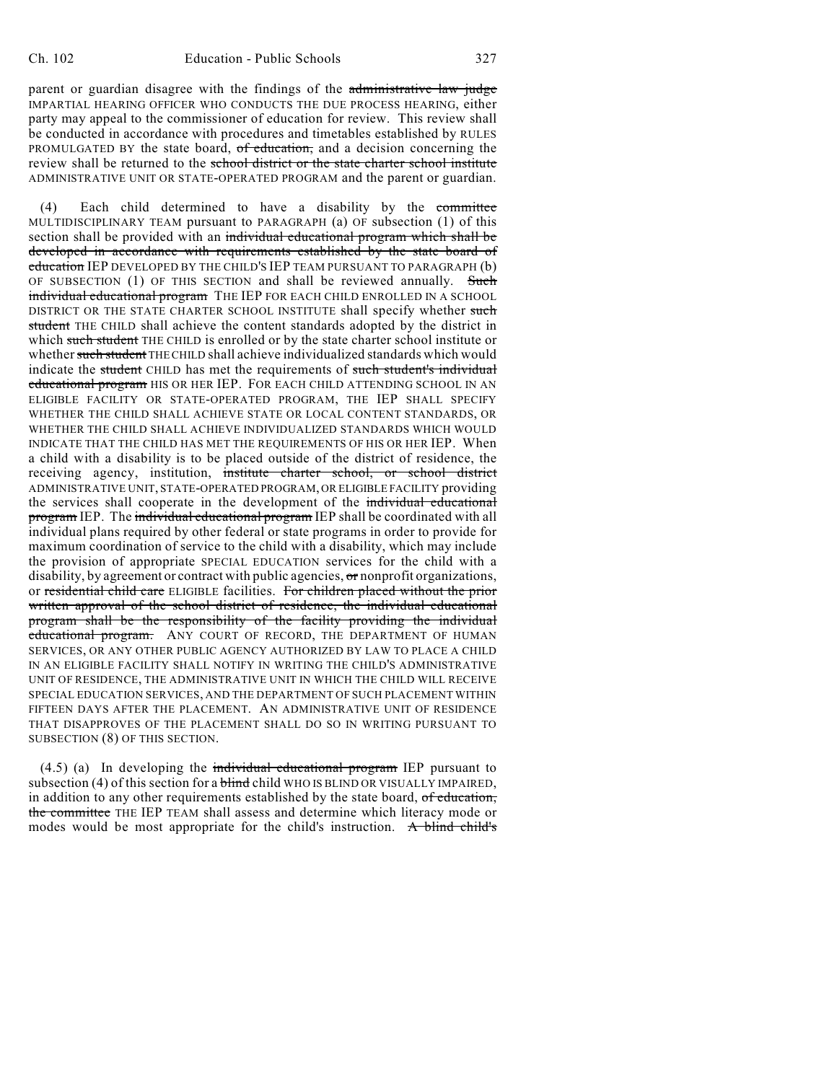parent or guardian disagree with the findings of the administrative law judge IMPARTIAL HEARING OFFICER WHO CONDUCTS THE DUE PROCESS HEARING, either party may appeal to the commissioner of education for review. This review shall be conducted in accordance with procedures and timetables established by RULES PROMULGATED BY the state board, of education, and a decision concerning the review shall be returned to the school district or the state charter school institute ADMINISTRATIVE UNIT OR STATE-OPERATED PROGRAM and the parent or guardian.

(4) Each child determined to have a disability by the committee MULTIDISCIPLINARY TEAM pursuant to PARAGRAPH (a) OF subsection (1) of this section shall be provided with an individual educational program which shall be developed in accordance with requirements established by the state board of education IEP DEVELOPED BY THE CHILD'S IEP TEAM PURSUANT TO PARAGRAPH (b) OF SUBSECTION  $(1)$  OF THIS SECTION and shall be reviewed annually. Such individual educational program THE IEP FOR EACH CHILD ENROLLED IN A SCHOOL DISTRICT OR THE STATE CHARTER SCHOOL INSTITUTE shall specify whether such student THE CHILD shall achieve the content standards adopted by the district in which such student THE CHILD is enrolled or by the state charter school institute or whether such student THE CHILD shall achieve individualized standards which would indicate the student CHILD has met the requirements of such student's individual educational program HIS OR HER IEP. FOR EACH CHILD ATTENDING SCHOOL IN AN ELIGIBLE FACILITY OR STATE-OPERATED PROGRAM, THE IEP SHALL SPECIFY WHETHER THE CHILD SHALL ACHIEVE STATE OR LOCAL CONTENT STANDARDS, OR WHETHER THE CHILD SHALL ACHIEVE INDIVIDUALIZED STANDARDS WHICH WOULD INDICATE THAT THE CHILD HAS MET THE REQUIREMENTS OF HIS OR HER IEP. When a child with a disability is to be placed outside of the district of residence, the receiving agency, institution, institute charter school, or school district ADMINISTRATIVE UNIT, STATE-OPERATED PROGRAM, OR ELIGIBLE FACILITY providing the services shall cooperate in the development of the individual educational program IEP. The individual educational program IEP shall be coordinated with all individual plans required by other federal or state programs in order to provide for maximum coordination of service to the child with a disability, which may include the provision of appropriate SPECIAL EDUCATION services for the child with a disability, by agreement or contract with public agencies, or nonprofit organizations, or residential child care ELIGIBLE facilities. For children placed without the prior written approval of the school district of residence, the individual educational program shall be the responsibility of the facility providing the individual educational program. ANY COURT OF RECORD, THE DEPARTMENT OF HUMAN SERVICES, OR ANY OTHER PUBLIC AGENCY AUTHORIZED BY LAW TO PLACE A CHILD IN AN ELIGIBLE FACILITY SHALL NOTIFY IN WRITING THE CHILD'S ADMINISTRATIVE UNIT OF RESIDENCE, THE ADMINISTRATIVE UNIT IN WHICH THE CHILD WILL RECEIVE SPECIAL EDUCATION SERVICES, AND THE DEPARTMENT OF SUCH PLACEMENT WITHIN FIFTEEN DAYS AFTER THE PLACEMENT. AN ADMINISTRATIVE UNIT OF RESIDENCE THAT DISAPPROVES OF THE PLACEMENT SHALL DO SO IN WRITING PURSUANT TO SUBSECTION (8) OF THIS SECTION.

 $(4.5)$  (a) In developing the individual educational program IEP pursuant to subsection (4) of this section for a  $b$ lind child WHO IS BLIND OR VISUALLY IMPAIRED, in addition to any other requirements established by the state board, of education, the committee THE IEP TEAM shall assess and determine which literacy mode or modes would be most appropriate for the child's instruction. A blind child's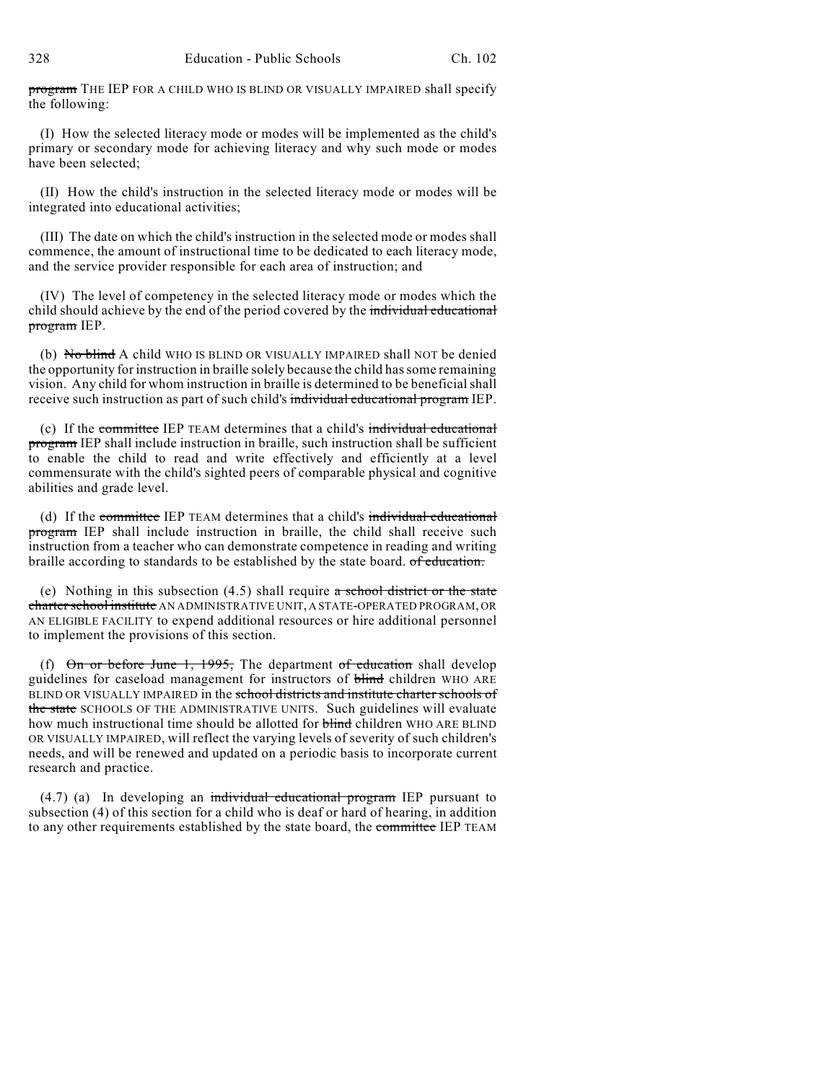program THE IEP FOR A CHILD WHO IS BLIND OR VISUALLY IMPAIRED shall specify the following:

(I) How the selected literacy mode or modes will be implemented as the child's primary or secondary mode for achieving literacy and why such mode or modes have been selected;

(II) How the child's instruction in the selected literacy mode or modes will be integrated into educational activities;

(III) The date on which the child's instruction in the selected mode or modes shall commence, the amount of instructional time to be dedicated to each literacy mode, and the service provider responsible for each area of instruction; and

(IV) The level of competency in the selected literacy mode or modes which the child should achieve by the end of the period covered by the individual educational program IEP.

(b) No blind A child WHO IS BLIND OR VISUALLY IMPAIRED shall NOT be denied the opportunity for instruction in braille solely because the child has some remaining vision. Any child for whom instruction in braille is determined to be beneficial shall receive such instruction as part of such child's individual educational program IEP.

(c) If the committee IEP TEAM determines that a child's individual educational program IEP shall include instruction in braille, such instruction shall be sufficient to enable the child to read and write effectively and efficiently at a level commensurate with the child's sighted peers of comparable physical and cognitive abilities and grade level.

(d) If the committee IEP TEAM determines that a child's individual educational program IEP shall include instruction in braille, the child shall receive such instruction from a teacher who can demonstrate competence in reading and writing braille according to standards to be established by the state board. of education.

(e) Nothing in this subsection  $(4.5)$  shall require a school district or the state charter school institute AN ADMINISTRATIVE UNIT, A STATE-OPERATED PROGRAM, OR AN ELIGIBLE FACILITY to expend additional resources or hire additional personnel to implement the provisions of this section.

(f)  $\Theta$ n or before June 1, 1995, The department of education shall develop guidelines for caseload management for instructors of blind children WHO ARE BLIND OR VISUALLY IMPAIRED in the school districts and institute charter schools of the state SCHOOLS OF THE ADMINISTRATIVE UNITS. Such guidelines will evaluate how much instructional time should be allotted for **blind** children WHO ARE BLIND OR VISUALLY IMPAIRED, will reflect the varying levels of severity of such children's needs, and will be renewed and updated on a periodic basis to incorporate current research and practice.

 $(4.7)$  (a) In developing an individual educational program IEP pursuant to subsection (4) of this section for a child who is deaf or hard of hearing, in addition to any other requirements established by the state board, the committee IEP TEAM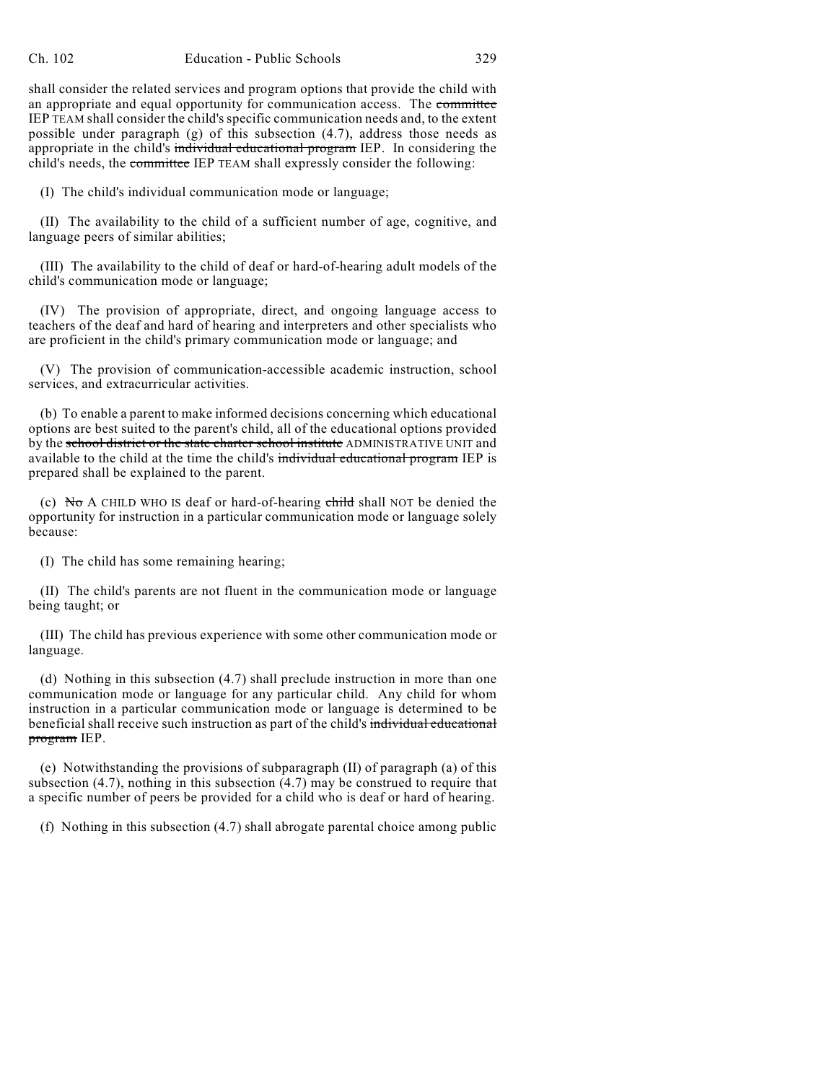shall consider the related services and program options that provide the child with an appropriate and equal opportunity for communication access. The committee IEP TEAM shall consider the child's specific communication needs and, to the extent possible under paragraph (g) of this subsection (4.7), address those needs as appropriate in the child's individual educational program IEP. In considering the child's needs, the committee IEP TEAM shall expressly consider the following:

(I) The child's individual communication mode or language;

(II) The availability to the child of a sufficient number of age, cognitive, and language peers of similar abilities;

(III) The availability to the child of deaf or hard-of-hearing adult models of the child's communication mode or language;

(IV) The provision of appropriate, direct, and ongoing language access to teachers of the deaf and hard of hearing and interpreters and other specialists who are proficient in the child's primary communication mode or language; and

(V) The provision of communication-accessible academic instruction, school services, and extracurricular activities.

(b) To enable a parent to make informed decisions concerning which educational options are best suited to the parent's child, all of the educational options provided by the school district or the state charter school institute ADMINISTRATIVE UNIT and available to the child at the time the child's individual educational program IEP is prepared shall be explained to the parent.

(c) No A CHILD WHO IS deaf or hard-of-hearing  $\epsilon$ hild shall NOT be denied the opportunity for instruction in a particular communication mode or language solely because:

(I) The child has some remaining hearing;

(II) The child's parents are not fluent in the communication mode or language being taught; or

(III) The child has previous experience with some other communication mode or language.

(d) Nothing in this subsection (4.7) shall preclude instruction in more than one communication mode or language for any particular child. Any child for whom instruction in a particular communication mode or language is determined to be beneficial shall receive such instruction as part of the child's individual educational program IEP.

(e) Notwithstanding the provisions of subparagraph (II) of paragraph (a) of this subsection (4.7), nothing in this subsection (4.7) may be construed to require that a specific number of peers be provided for a child who is deaf or hard of hearing.

(f) Nothing in this subsection (4.7) shall abrogate parental choice among public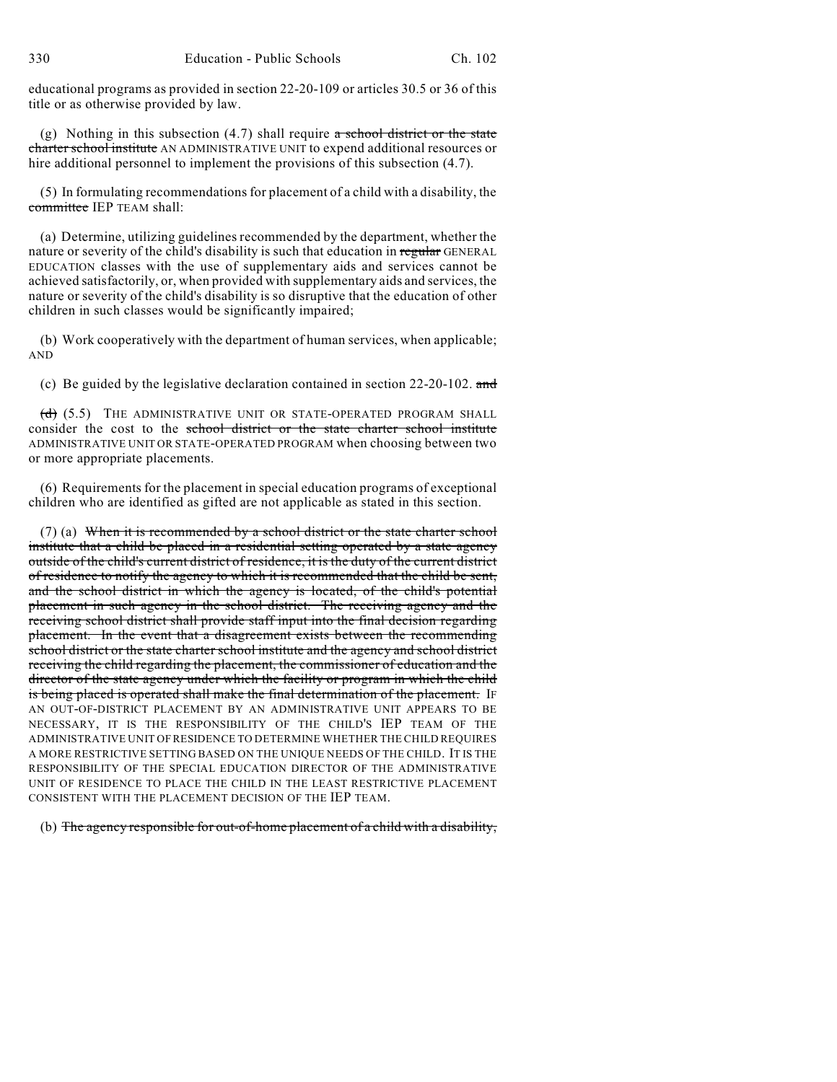educational programs as provided in section 22-20-109 or articles 30.5 or 36 of this title or as otherwise provided by law.

(g) Nothing in this subsection  $(4.7)$  shall require a school district or the state charter school institute AN ADMINISTRATIVE UNIT to expend additional resources or hire additional personnel to implement the provisions of this subsection (4.7).

(5) In formulating recommendations for placement of a child with a disability, the committee IEP TEAM shall:

(a) Determine, utilizing guidelines recommended by the department, whether the nature or severity of the child's disability is such that education in regular GENERAL EDUCATION classes with the use of supplementary aids and services cannot be achieved satisfactorily, or, when provided with supplementary aids and services, the nature or severity of the child's disability is so disruptive that the education of other children in such classes would be significantly impaired;

(b) Work cooperatively with the department of human services, when applicable; AND

(c) Be guided by the legislative declaration contained in section 22-20-102. and

 $(d)$  (5.5) THE ADMINISTRATIVE UNIT OR STATE-OPERATED PROGRAM SHALL consider the cost to the school district or the state charter school institute ADMINISTRATIVE UNIT OR STATE-OPERATED PROGRAM when choosing between two or more appropriate placements.

(6) Requirements for the placement in special education programs of exceptional children who are identified as gifted are not applicable as stated in this section.

(7) (a) When it is recommended by a school district or the state charter school institute that a child be placed in a residential setting operated by a state agency outside of the child's current district of residence, it is the duty of the current district of residence to notify the agency to which it is recommended that the child be sent, and the school district in which the agency is located, of the child's potential placement in such agency in the school district. The receiving agency and the receiving school district shall provide staff input into the final decision regarding placement. In the event that a disagreement exists between the recommending school district or the state charter school institute and the agency and school district receiving the child regarding the placement, the commissioner of education and the director of the state agency under which the facility or program in which the child is being placed is operated shall make the final determination of the placement. If AN OUT-OF-DISTRICT PLACEMENT BY AN ADMINISTRATIVE UNIT APPEARS TO BE NECESSARY, IT IS THE RESPONSIBILITY OF THE CHILD'S IEP TEAM OF THE ADMINISTRATIVE UNIT OF RESIDENCE TO DETERMINE WHETHER THE CHILD REQUIRES A MORE RESTRICTIVE SETTING BASED ON THE UNIQUE NEEDS OF THE CHILD. IT IS THE RESPONSIBILITY OF THE SPECIAL EDUCATION DIRECTOR OF THE ADMINISTRATIVE UNIT OF RESIDENCE TO PLACE THE CHILD IN THE LEAST RESTRICTIVE PLACEMENT CONSISTENT WITH THE PLACEMENT DECISION OF THE IEP TEAM.

(b) The agency responsible for out-of-home placement of a child with a disability,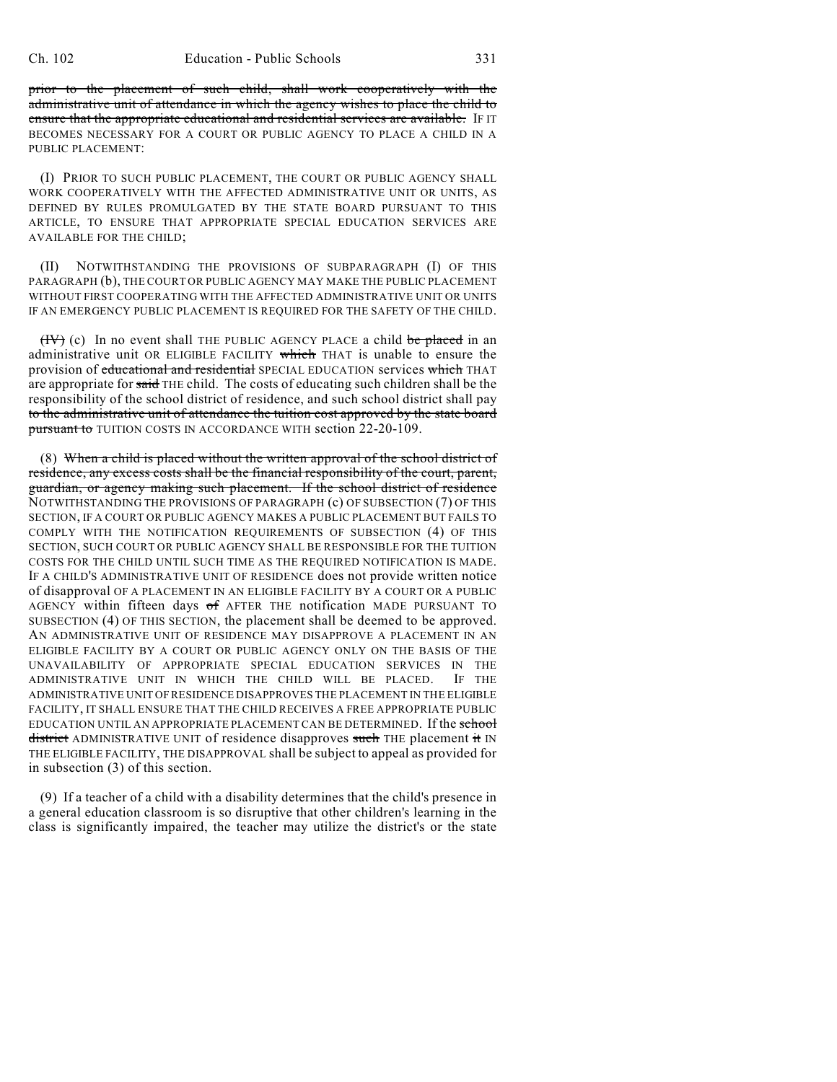prior to the placement of such child, shall work cooperatively with the administrative unit of attendance in which the agency wishes to place the child to ensure that the appropriate educational and residential services are available. IF IT BECOMES NECESSARY FOR A COURT OR PUBLIC AGENCY TO PLACE A CHILD IN A PUBLIC PLACEMENT:

(I) PRIOR TO SUCH PUBLIC PLACEMENT, THE COURT OR PUBLIC AGENCY SHALL WORK COOPERATIVELY WITH THE AFFECTED ADMINISTRATIVE UNIT OR UNITS, AS DEFINED BY RULES PROMULGATED BY THE STATE BOARD PURSUANT TO THIS ARTICLE, TO ENSURE THAT APPROPRIATE SPECIAL EDUCATION SERVICES ARE AVAILABLE FOR THE CHILD;

(II) NOTWITHSTANDING THE PROVISIONS OF SUBPARAGRAPH (I) OF THIS PARAGRAPH (b), THE COURT OR PUBLIC AGENCY MAY MAKE THE PUBLIC PLACEMENT WITHOUT FIRST COOPERATING WITH THE AFFECTED ADMINISTRATIVE UNIT OR UNITS IF AN EMERGENCY PUBLIC PLACEMENT IS REQUIRED FOR THE SAFETY OF THE CHILD.

 $(HV)$  (c) In no event shall THE PUBLIC AGENCY PLACE a child be placed in an administrative unit OR ELIGIBLE FACILITY which THAT is unable to ensure the provision of educational and residential SPECIAL EDUCATION services which THAT are appropriate for said THE child. The costs of educating such children shall be the responsibility of the school district of residence, and such school district shall pay to the administrative unit of attendance the tuition cost approved by the state board pursuant to TUITION COSTS IN ACCORDANCE WITH section 22-20-109.

(8) When a child is placed without the written approval of the school district of residence, any excess costs shall be the financial responsibility of the court, parent, guardian, or agency making such placement. If the school district of residence NOTWITHSTANDING THE PROVISIONS OF PARAGRAPH (c) OF SUBSECTION (7) OF THIS SECTION, IF A COURT OR PUBLIC AGENCY MAKES A PUBLIC PLACEMENT BUT FAILS TO COMPLY WITH THE NOTIFICATION REQUIREMENTS OF SUBSECTION (4) OF THIS SECTION, SUCH COURT OR PUBLIC AGENCY SHALL BE RESPONSIBLE FOR THE TUITION COSTS FOR THE CHILD UNTIL SUCH TIME AS THE REQUIRED NOTIFICATION IS MADE. IF A CHILD'S ADMINISTRATIVE UNIT OF RESIDENCE does not provide written notice of disapproval OF A PLACEMENT IN AN ELIGIBLE FACILITY BY A COURT OR A PUBLIC AGENCY within fifteen days of AFTER THE notification MADE PURSUANT TO SUBSECTION (4) OF THIS SECTION, the placement shall be deemed to be approved. AN ADMINISTRATIVE UNIT OF RESIDENCE MAY DISAPPROVE A PLACEMENT IN AN ELIGIBLE FACILITY BY A COURT OR PUBLIC AGENCY ONLY ON THE BASIS OF THE UNAVAILABILITY OF APPROPRIATE SPECIAL EDUCATION SERVICES IN THE ADMINISTRATIVE UNIT IN WHICH THE CHILD WILL BE PLACED. ADMINISTRATIVE UNIT OF RESIDENCE DISAPPROVES THE PLACEMENT IN THE ELIGIBLE FACILITY, IT SHALL ENSURE THAT THE CHILD RECEIVES A FREE APPROPRIATE PUBLIC EDUCATION UNTIL AN APPROPRIATE PLACEMENT CAN BE DETERMINED. If the school district ADMINISTRATIVE UNIT of residence disapproves such THE placement it IN THE ELIGIBLE FACILITY, THE DISAPPROVAL shall be subject to appeal as provided for in subsection (3) of this section.

(9) If a teacher of a child with a disability determines that the child's presence in a general education classroom is so disruptive that other children's learning in the class is significantly impaired, the teacher may utilize the district's or the state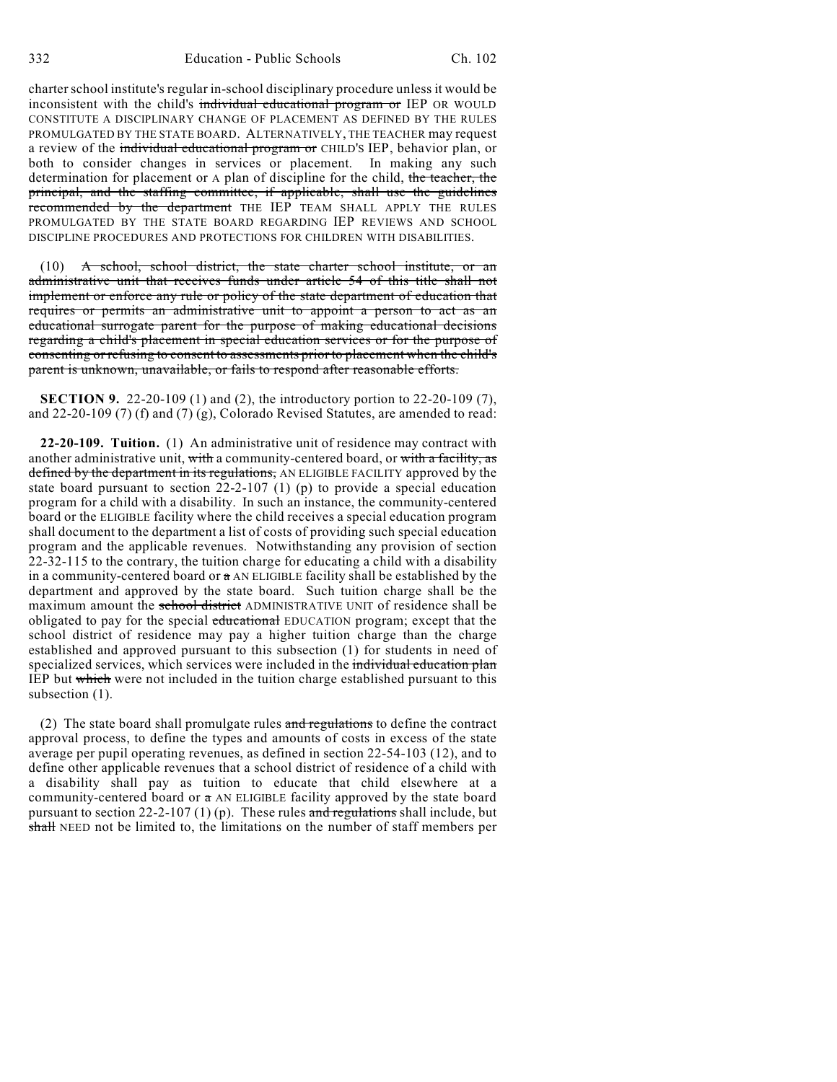charter school institute's regular in-school disciplinary procedure unless it would be inconsistent with the child's individual educational program or IEP OR WOULD CONSTITUTE A DISCIPLINARY CHANGE OF PLACEMENT AS DEFINED BY THE RULES PROMULGATED BY THE STATE BOARD. ALTERNATIVELY, THE TEACHER may request a review of the individual educational program or CHILD'S IEP, behavior plan, or both to consider changes in services or placement. In making any such determination for placement or A plan of discipline for the child, the teacher, the principal, and the staffing committee, if applicable, shall use the guidelines recommended by the department THE IEP TEAM SHALL APPLY THE RULES PROMULGATED BY THE STATE BOARD REGARDING IEP REVIEWS AND SCHOOL DISCIPLINE PROCEDURES AND PROTECTIONS FOR CHILDREN WITH DISABILITIES.

(10) A school, school district, the state charter school institute, or an administrative unit that receives funds under article 54 of this title shall not implement or enforce any rule or policy of the state department of education that requires or permits an administrative unit to appoint a person to act as an educational surrogate parent for the purpose of making educational decisions regarding a child's placement in special education services or for the purpose of consenting or refusing to consent to assessments prior to placement when the child's parent is unknown, unavailable, or fails to respond after reasonable efforts.

**SECTION 9.** 22-20-109 (1) and (2), the introductory portion to 22-20-109 (7), and 22-20-109 (7) (f) and (7) (g), Colorado Revised Statutes, are amended to read:

**22-20-109. Tuition.** (1) An administrative unit of residence may contract with another administrative unit, with a community-centered board, or with a facility, as defined by the department in its regulations, AN ELIGIBLE FACILITY approved by the state board pursuant to section 22-2-107 (1) (p) to provide a special education program for a child with a disability. In such an instance, the community-centered board or the ELIGIBLE facility where the child receives a special education program shall document to the department a list of costs of providing such special education program and the applicable revenues. Notwithstanding any provision of section 22-32-115 to the contrary, the tuition charge for educating a child with a disability in a community-centered board or  $\alpha$  AN ELIGIBLE facility shall be established by the department and approved by the state board. Such tuition charge shall be the maximum amount the school district ADMINISTRATIVE UNIT of residence shall be obligated to pay for the special educational EDUCATION program; except that the school district of residence may pay a higher tuition charge than the charge established and approved pursuant to this subsection (1) for students in need of specialized services, which services were included in the individual education plan IEP but which were not included in the tuition charge established pursuant to this subsection (1).

(2) The state board shall promulgate rules and regulations to define the contract approval process, to define the types and amounts of costs in excess of the state average per pupil operating revenues, as defined in section 22-54-103 (12), and to define other applicable revenues that a school district of residence of a child with a disability shall pay as tuition to educate that child elsewhere at a community-centered board or  $a$  AN ELIGIBLE facility approved by the state board pursuant to section 22-2-107 (1) (p). These rules and regulations shall include, but shall NEED not be limited to, the limitations on the number of staff members per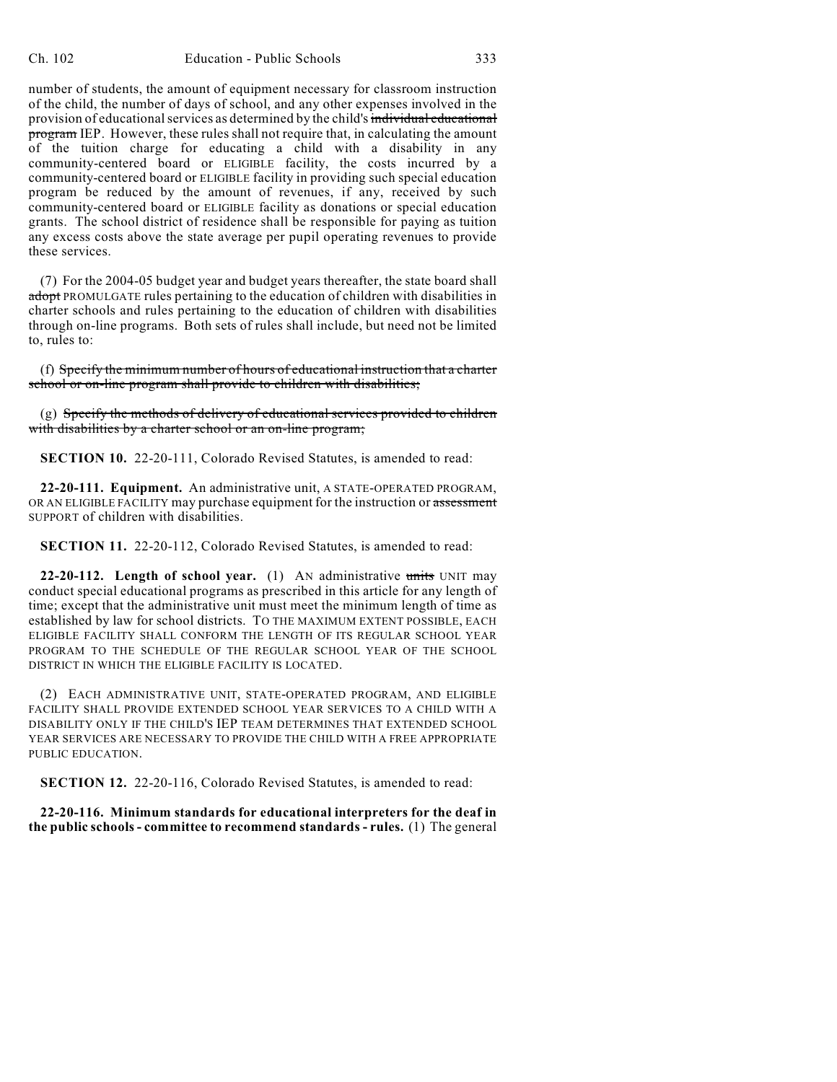number of students, the amount of equipment necessary for classroom instruction of the child, the number of days of school, and any other expenses involved in the provision of educational services as determined by the child's individual educational program IEP. However, these rules shall not require that, in calculating the amount of the tuition charge for educating a child with a disability in any community-centered board or ELIGIBLE facility, the costs incurred by a community-centered board or ELIGIBLE facility in providing such special education program be reduced by the amount of revenues, if any, received by such community-centered board or ELIGIBLE facility as donations or special education grants. The school district of residence shall be responsible for paying as tuition any excess costs above the state average per pupil operating revenues to provide these services.

(7) For the 2004-05 budget year and budget years thereafter, the state board shall adopt PROMULGATE rules pertaining to the education of children with disabilities in charter schools and rules pertaining to the education of children with disabilities through on-line programs. Both sets of rules shall include, but need not be limited to, rules to:

(f) Specify the minimum number of hours of educational instruction that a charter school or on-line program shall provide to children with disabilities;

 $(g)$  Specify the methods of delivery of educational services provided to children with disabilities by a charter school or an on-line program;

**SECTION 10.** 22-20-111, Colorado Revised Statutes, is amended to read:

**22-20-111. Equipment.** An administrative unit, A STATE-OPERATED PROGRAM, OR AN ELIGIBLE FACILITY may purchase equipment for the instruction or assessment SUPPORT of children with disabilities.

**SECTION 11.** 22-20-112, Colorado Revised Statutes, is amended to read:

**22-20-112. Length of school year.** (1) AN administrative units UNIT may conduct special educational programs as prescribed in this article for any length of time; except that the administrative unit must meet the minimum length of time as established by law for school districts. TO THE MAXIMUM EXTENT POSSIBLE, EACH ELIGIBLE FACILITY SHALL CONFORM THE LENGTH OF ITS REGULAR SCHOOL YEAR PROGRAM TO THE SCHEDULE OF THE REGULAR SCHOOL YEAR OF THE SCHOOL DISTRICT IN WHICH THE ELIGIBLE FACILITY IS LOCATED.

(2) EACH ADMINISTRATIVE UNIT, STATE-OPERATED PROGRAM, AND ELIGIBLE FACILITY SHALL PROVIDE EXTENDED SCHOOL YEAR SERVICES TO A CHILD WITH A DISABILITY ONLY IF THE CHILD'S IEP TEAM DETERMINES THAT EXTENDED SCHOOL YEAR SERVICES ARE NECESSARY TO PROVIDE THE CHILD WITH A FREE APPROPRIATE PUBLIC EDUCATION.

**SECTION 12.** 22-20-116, Colorado Revised Statutes, is amended to read:

**22-20-116. Minimum standards for educational interpreters for the deaf in the public schools- committee to recommend standards - rules.** (1) The general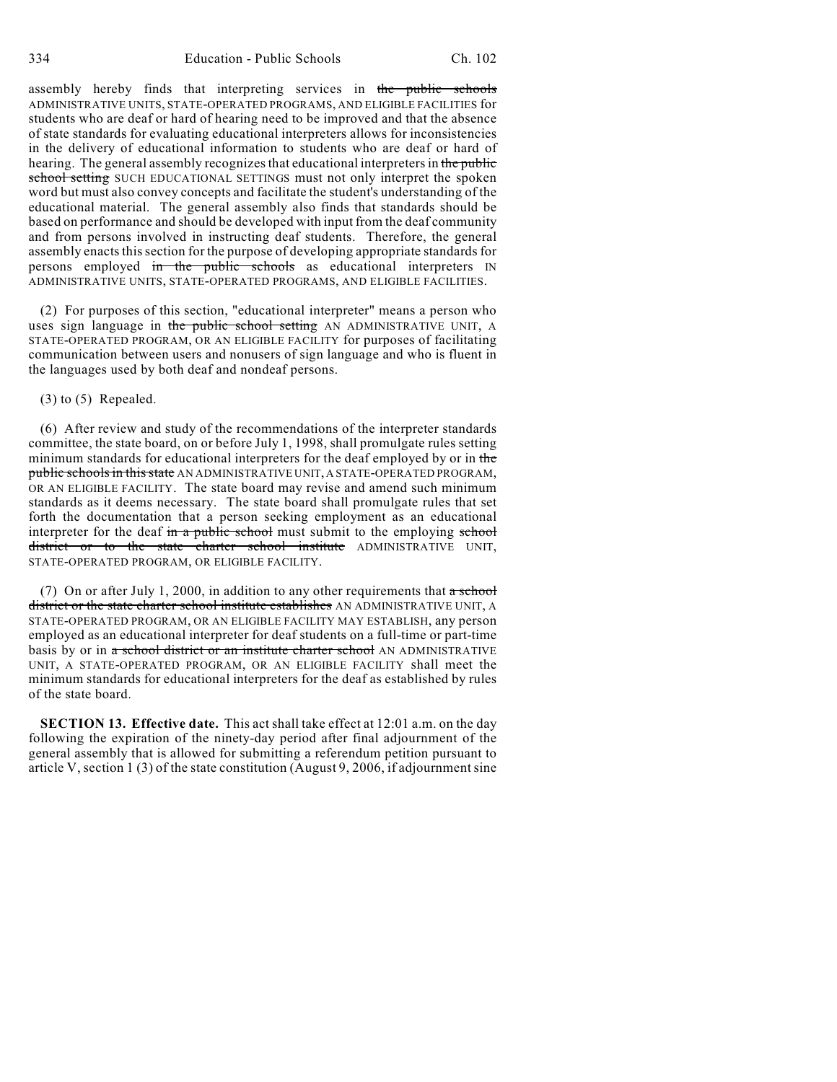assembly hereby finds that interpreting services in the public schools ADMINISTRATIVE UNITS, STATE-OPERATED PROGRAMS, AND ELIGIBLE FACILITIES for students who are deaf or hard of hearing need to be improved and that the absence of state standards for evaluating educational interpreters allows for inconsistencies in the delivery of educational information to students who are deaf or hard of hearing. The general assembly recognizes that educational interpreters in the public school setting SUCH EDUCATIONAL SETTINGS must not only interpret the spoken word but must also convey concepts and facilitate the student's understanding of the educational material. The general assembly also finds that standards should be based on performance and should be developed with input from the deaf community and from persons involved in instructing deaf students. Therefore, the general assembly enacts this section for the purpose of developing appropriate standards for persons employed in the public schools as educational interpreters IN ADMINISTRATIVE UNITS, STATE-OPERATED PROGRAMS, AND ELIGIBLE FACILITIES.

(2) For purposes of this section, "educational interpreter" means a person who uses sign language in the public school setting AN ADMINISTRATIVE UNIT, A STATE-OPERATED PROGRAM, OR AN ELIGIBLE FACILITY for purposes of facilitating communication between users and nonusers of sign language and who is fluent in the languages used by both deaf and nondeaf persons.

## (3) to (5) Repealed.

(6) After review and study of the recommendations of the interpreter standards committee, the state board, on or before July 1, 1998, shall promulgate rules setting minimum standards for educational interpreters for the deaf employed by or in the public schools in this state AN ADMINISTRATIVE UNIT, A STATE-OPERATED PROGRAM, OR AN ELIGIBLE FACILITY. The state board may revise and amend such minimum standards as it deems necessary. The state board shall promulgate rules that set forth the documentation that a person seeking employment as an educational interpreter for the deaf in a public school must submit to the employing school district or to the state charter school institute ADMINISTRATIVE UNIT, STATE-OPERATED PROGRAM, OR ELIGIBLE FACILITY.

(7) On or after July 1, 2000, in addition to any other requirements that  $\alpha$  school district or the state charter school institute establishes AN ADMINISTRATIVE UNIT, A STATE-OPERATED PROGRAM, OR AN ELIGIBLE FACILITY MAY ESTABLISH, any person employed as an educational interpreter for deaf students on a full-time or part-time basis by or in a school district or an institute charter school AN ADMINISTRATIVE UNIT, A STATE-OPERATED PROGRAM, OR AN ELIGIBLE FACILITY shall meet the minimum standards for educational interpreters for the deaf as established by rules of the state board.

**SECTION 13. Effective date.** This act shall take effect at 12:01 a.m. on the day following the expiration of the ninety-day period after final adjournment of the general assembly that is allowed for submitting a referendum petition pursuant to article V, section 1 (3) of the state constitution (August 9, 2006, if adjournment sine